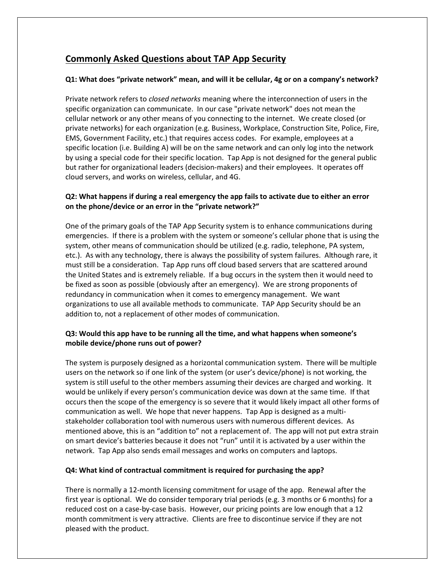# **Commonly Asked Questions about TAP App Security**

#### **Q1: What does "private network" mean, and will it be cellular, 4g or on a company's network?**

Private network refers to *closed networks* meaning where the interconnection of users in the specific organization can communicate. In our case "private network" does not mean the cellular network or any other means of you connecting to the internet. We create closed (or private networks) for each organization (e.g. Business, Workplace, Construction Site, Police, Fire, EMS, Government Facility, etc.) that requires access codes. For example, employees at a specific location (i.e. Building A) will be on the same network and can only log into the network by using a special code for their specific location. Tap App is not designed for the general public but rather for organizational leaders (decision-makers) and their employees. It operates off cloud servers, and works on wireless, cellular, and 4G.

## **Q2: What happens if during a real emergency the app fails to activate due to either an error on the phone/device or an error in the "private network?"**

One of the primary goals of the TAP App Security system is to enhance communications during emergencies. If there is a problem with the system or someone's cellular phone that is using the system, other means of communication should be utilized (e.g. radio, telephone, PA system, etc.). As with any technology, there is always the possibility of system failures. Although rare, it must still be a consideration. Tap App runs off cloud based servers that are scattered around the United States and is extremely reliable. If a bug occurs in the system then it would need to be fixed as soon as possible (obviously after an emergency). We are strong proponents of redundancy in communication when it comes to emergency management. We want organizations to use all available methods to communicate. TAP App Security should be an addition to, not a replacement of other modes of communication.

## **Q3: Would this app have to be running all the time, and what happens when someone's mobile device/phone runs out of power?**

The system is purposely designed as a horizontal communication system. There will be multiple users on the network so if one link of the system (or user's device/phone) is not working, the system is still useful to the other members assuming their devices are charged and working. It would be unlikely if every person's communication device was down at the same time. If that occurs then the scope of the emergency is so severe that it would likely impact all other forms of communication as well. We hope that never happens. Tap App is designed as a multistakeholder collaboration tool with numerous users with numerous different devices. As mentioned above, this is an "addition to" not a replacement of. The app will not put extra strain on smart device's batteries because it does not "run" until it is activated by a user within the network. Tap App also sends email messages and works on computers and laptops.

#### **Q4: What kind of contractual commitment is required for purchasing the app?**

There is normally a 12-month licensing commitment for usage of the app. Renewal after the first year is optional. We do consider temporary trial periods (e.g. 3 months or 6 months) for a reduced cost on a case-by-case basis. However, our pricing points are low enough that a 12 month commitment is very attractive. Clients are free to discontinue service if they are not pleased with the product.